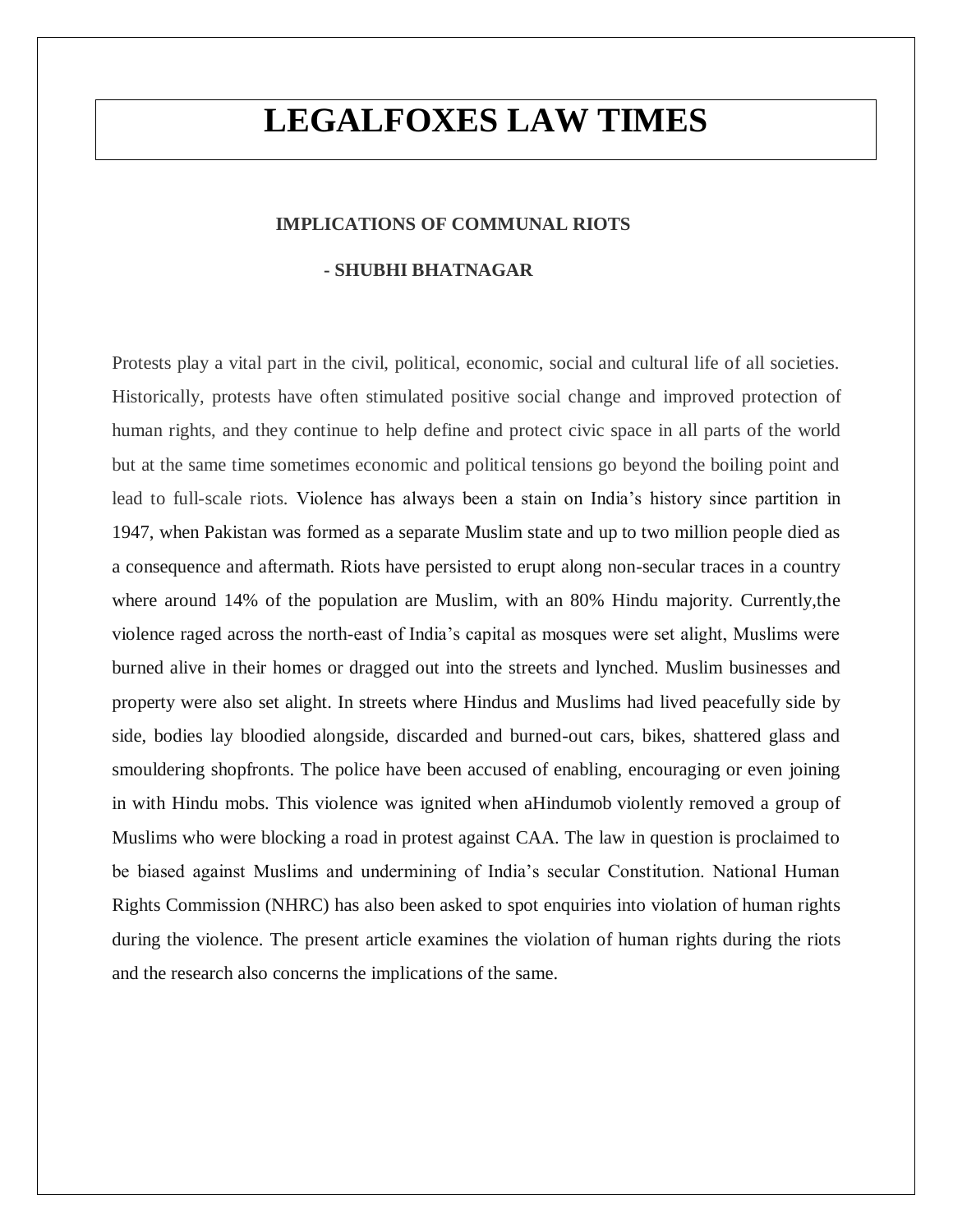# **LEGALFOXES LAW TIMES**

# **IMPLICATIONS OF COMMUNAL RIOTS**

## **- SHUBHI BHATNAGAR**

Protests play a vital part in the civil, political, economic, social and cultural life of all societies. Historically, protests have often stimulated positive social change and improved protection of human rights, and they continue to help define and protect civic space in all parts of the world but at the same time sometimes economic and political tensions go beyond the boiling point and lead to full-scale riots. Violence has always been a stain on India's history since partition in 1947, when Pakistan was formed as a separate Muslim state and up to two million people died as a consequence and aftermath. Riots have persisted to erupt along non-secular traces in a country where around 14% of the population are Muslim, with an 80% Hindu majority. Currently,the violence raged across the north-east of India's capital as mosques were set alight, Muslims were burned alive in their homes or dragged out into the streets and lynched. Muslim businesses and property were also set alight. In streets where Hindus and Muslims had lived peacefully side by side, bodies lay bloodied alongside, discarded and burned-out cars, bikes, shattered glass and smouldering shopfronts. The police have been accused of enabling, encouraging or even joining in with Hindu mobs. This violence was ignited when aHindumob violently removed a group of Muslims who were blocking a road in protest against CAA. The law in question is proclaimed to be biased against Muslims and undermining of India's secular Constitution. National Human Rights Commission (NHRC) has also been asked to spot enquiries into violation of human rights during the violence. The present article examines the violation of human rights during the riots and the research also concerns the implications of the same.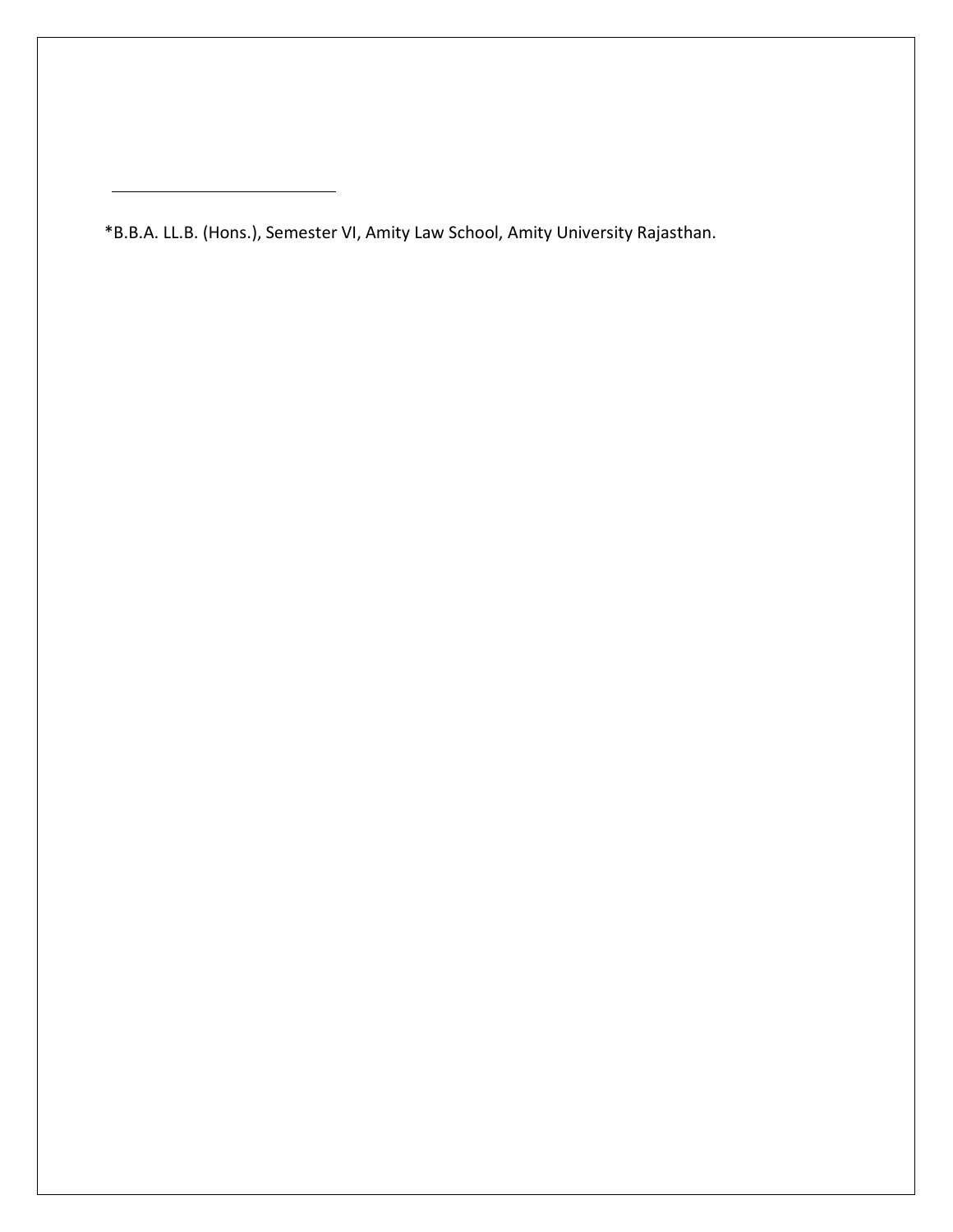\*B.B.A. LL.B. (Hons.), Semester VI, Amity Law School, Amity University Rajasthan.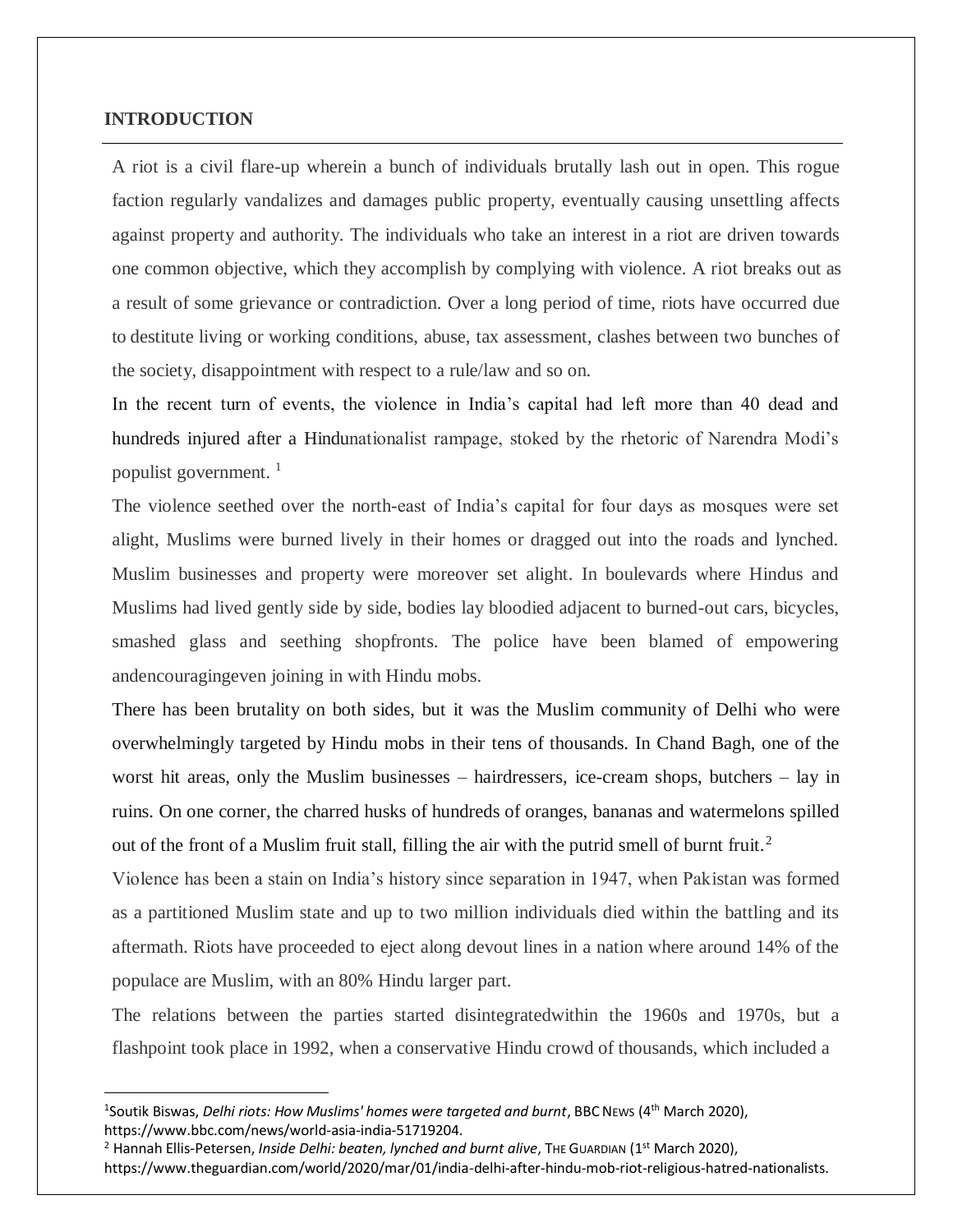## **INTRODUCTION**

1

A riot is a civil flare-up wherein a bunch of individuals brutally lash out in open. This rogue faction regularly vandalizes and damages public property, eventually causing unsettling affects against property and authority. The individuals who take an interest in a riot are driven towards one common objective, which they accomplish by complying with violence. A riot breaks out as a result of some grievance or contradiction. Over a long period of time, riots have occurred due to destitute living or working conditions, abuse, tax assessment, clashes between two bunches of the society, disappointment with respect to a rule/law and so on.

In the recent turn of events, the violence in India's capital had left more than 40 dead and hundreds injured after a Hindunationalist rampage, stoked by the rhetoric of Narendra Modi's populist government. <sup>1</sup>

The violence seethed over the north-east of India's capital for four days as mosques were set alight, Muslims were burned lively in their homes or dragged out into the roads and lynched. Muslim businesses and property were moreover set alight. In boulevards where Hindus and Muslims had lived gently side by side, bodies lay bloodied adjacent to burned-out cars, bicycles, smashed glass and seething shopfronts. The police have been blamed of empowering andencouragingeven joining in with Hindu mobs.

There has been brutality on both sides, but it was the Muslim community of Delhi who were overwhelmingly targeted by Hindu mobs in their tens of thousands. In Chand Bagh, one of the worst hit areas, only the Muslim businesses – hairdressers, ice-cream shops, butchers – lay in ruins. On one corner, the charred husks of hundreds of oranges, bananas and watermelons spilled out of the front of a Muslim fruit stall, filling the air with the putrid smell of burnt fruit.<sup>2</sup>

Violence has been a stain on India's history since separation in 1947, when Pakistan was formed as a partitioned Muslim state and up to two million individuals died within the battling and its aftermath. Riots have proceeded to eject along devout lines in a nation where around 14% of the populace are Muslim, with an 80% Hindu larger part.

The relations between the parties started disintegratedwithin the 1960s and 1970s, but a flashpoint took place in 1992, when a conservative Hindu crowd of thousands, which included a

<sup>&</sup>lt;sup>1</sup>Soutik Biswas, *Delhi riots: How Muslims' homes were targeted and burnt*, BBC NEws (4<sup>th</sup> March 2020), https://www.bbc.com/news/world-asia-india-51719204.

<sup>&</sup>lt;sup>2</sup> Hannah Ellis-Petersen, *Inside Delhi: beaten, lynched and burnt alive*, The GUARDIAN (1<sup>st</sup> March 2020), https://www.theguardian.com/world/2020/mar/01/india-delhi-after-hindu-mob-riot-religious-hatred-nationalists.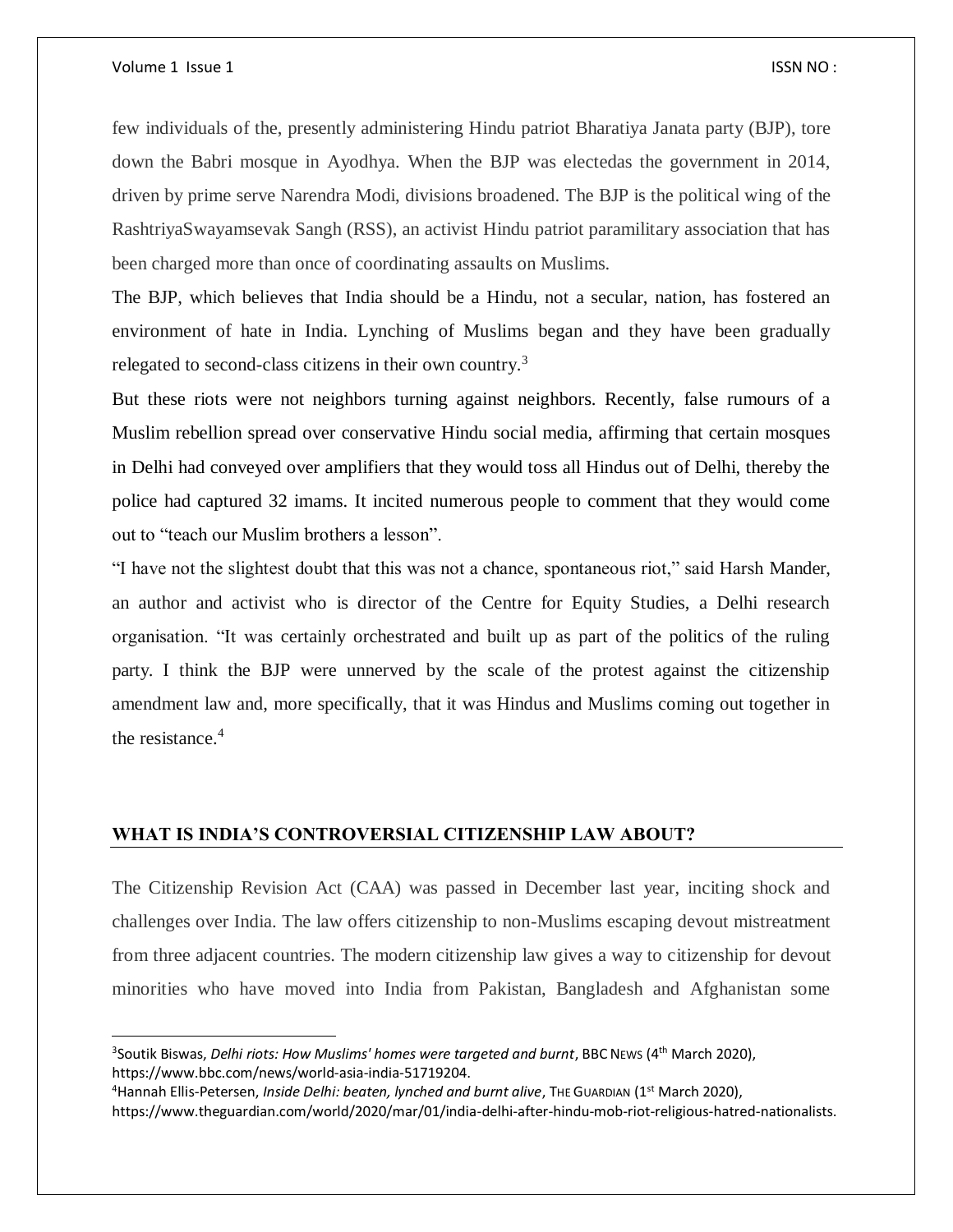#### Volume 1 Issue 1 **ISSN NO** :

 $\overline{a}$ 

few individuals of the, presently administering Hindu patriot Bharatiya Janata party (BJP), tore down the Babri mosque in Ayodhya. When the BJP was electedas the government in 2014, driven by prime serve Narendra Modi, divisions broadened. The BJP is the political wing of the RashtriyaSwayamsevak Sangh (RSS), an activist Hindu patriot paramilitary association that has been charged more than once of coordinating assaults on Muslims.

The BJP, which believes that India should be a Hindu, not a secular, nation, has fostered an environment of hate in India. Lynching of Muslims began and they have been gradually relegated to second-class citizens in their own country.<sup>3</sup>

But these riots were not neighbors turning against neighbors. Recently, false rumours of a Muslim rebellion spread over conservative Hindu social media, affirming that certain mosques in Delhi had conveyed over amplifiers that they would toss all Hindus out of Delhi, thereby the police had captured 32 imams. It incited numerous people to comment that they would come out to "teach our Muslim brothers a lesson".

"I have not the slightest doubt that this was not a chance, spontaneous riot," said Harsh Mander, an author and activist who is director of the Centre for Equity Studies, a Delhi research organisation. "It was certainly orchestrated and built up as part of the politics of the ruling party. I think the BJP were unnerved by the scale of the protest against the citizenship amendment law and, more specifically, that it was Hindus and Muslims coming out together in the resistance.<sup>4</sup>

## **WHAT IS INDIA'S CONTROVERSIAL CITIZENSHIP LAW ABOUT?**

The Citizenship Revision Act (CAA) was passed in December last year, inciting shock and challenges over India. The law offers citizenship to non-Muslims escaping devout mistreatment from three adjacent countries. The modern citizenship law gives a way to citizenship for devout minorities who have moved into India from Pakistan, Bangladesh and Afghanistan some

<sup>&</sup>lt;sup>3</sup>Soutik Biswas, *Delhi riots: How Muslims' homes were targeted and burnt*, BBC NEws (4<sup>th</sup> March 2020), https://www.bbc.com/news/world-asia-india-51719204.

<sup>&</sup>lt;sup>4</sup> Hannah Ellis-Petersen, *Inside Delhi: beaten, lynched and burnt alive*, THE GUARDIAN (1<sup>st</sup> March 2020),

https://www.theguardian.com/world/2020/mar/01/india-delhi-after-hindu-mob-riot-religious-hatred-nationalists.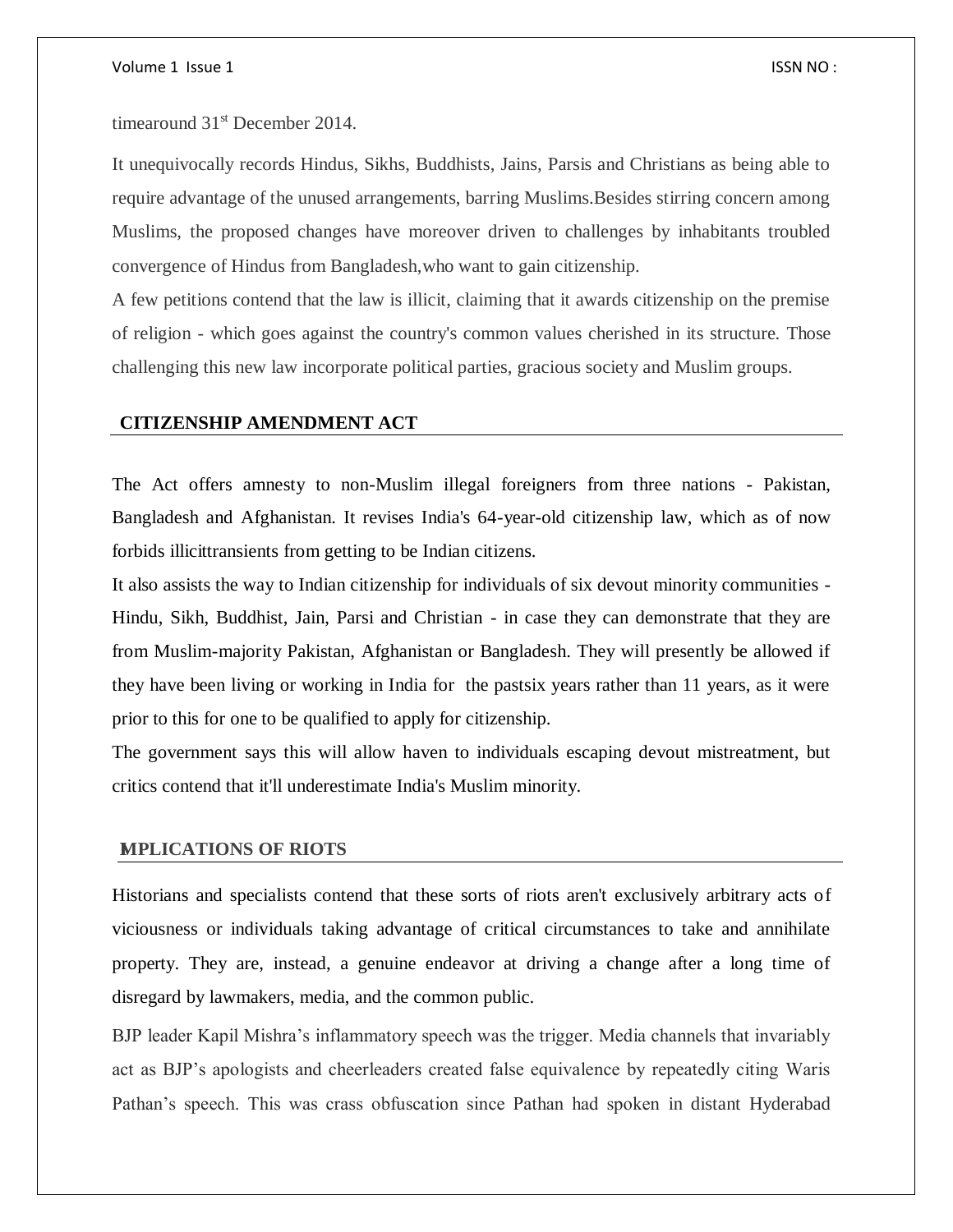#### Volume 1 Issue 1 Issue 1 Issue 1 Issue 1 Issue 1 Issue 1 Issue 1 Issue 1 Issue 1 Issue 1 Issue 1 Issue 1 Issue 1

timearound 31<sup>st</sup> December 2014.

It unequivocally records Hindus, Sikhs, Buddhists, Jains, Parsis and Christians as being able to require advantage of the unused arrangements, barring Muslims.Besides stirring concern among Muslims, the proposed changes have moreover driven to challenges by inhabitants troubled convergence of Hindus from Bangladesh,who want to gain citizenship.

A few petitions contend that the law is illicit, claiming that it awards citizenship on the premise of religion - which goes against the country's common values cherished in its structure. Those challenging this new law incorporate political parties, gracious society and Muslim groups.

## **CITIZENSHIP AMENDMENT ACT**

The Act offers amnesty to non-Muslim illegal foreigners from three nations - Pakistan, Bangladesh and Afghanistan. It revises India's 64-year-old citizenship law, which as of now forbids illicittransients from getting to be Indian citizens.

It also assists the way to Indian citizenship for individuals of six devout minority communities - Hindu, Sikh, Buddhist, Jain, Parsi and Christian - in case they can demonstrate that they are from Muslim-majority Pakistan, Afghanistan or Bangladesh. They will presently be allowed if they have been living or working in India for the pastsix years rather than 11 years, as it were prior to this for one to be qualified to apply for citizenship.

The government says this will allow haven to individuals escaping devout mistreatment, but critics contend that it'll underestimate India's Muslim minority.

### **IMPLICATIONS OF RIOTS**

Historians and specialists contend that these sorts of riots aren't exclusively arbitrary acts of viciousness or individuals taking advantage of critical circumstances to take and annihilate property. They are, instead, a genuine endeavor at driving a change after a long time of disregard by lawmakers, media, and the common public.

BJP leader Kapil Mishra's inflammatory speech was the trigger. Media channels that invariably act as BJP's apologists and cheerleaders created false equivalence by repeatedly citing Waris Pathan's speech. This was crass obfuscation since Pathan had spoken in distant Hyderabad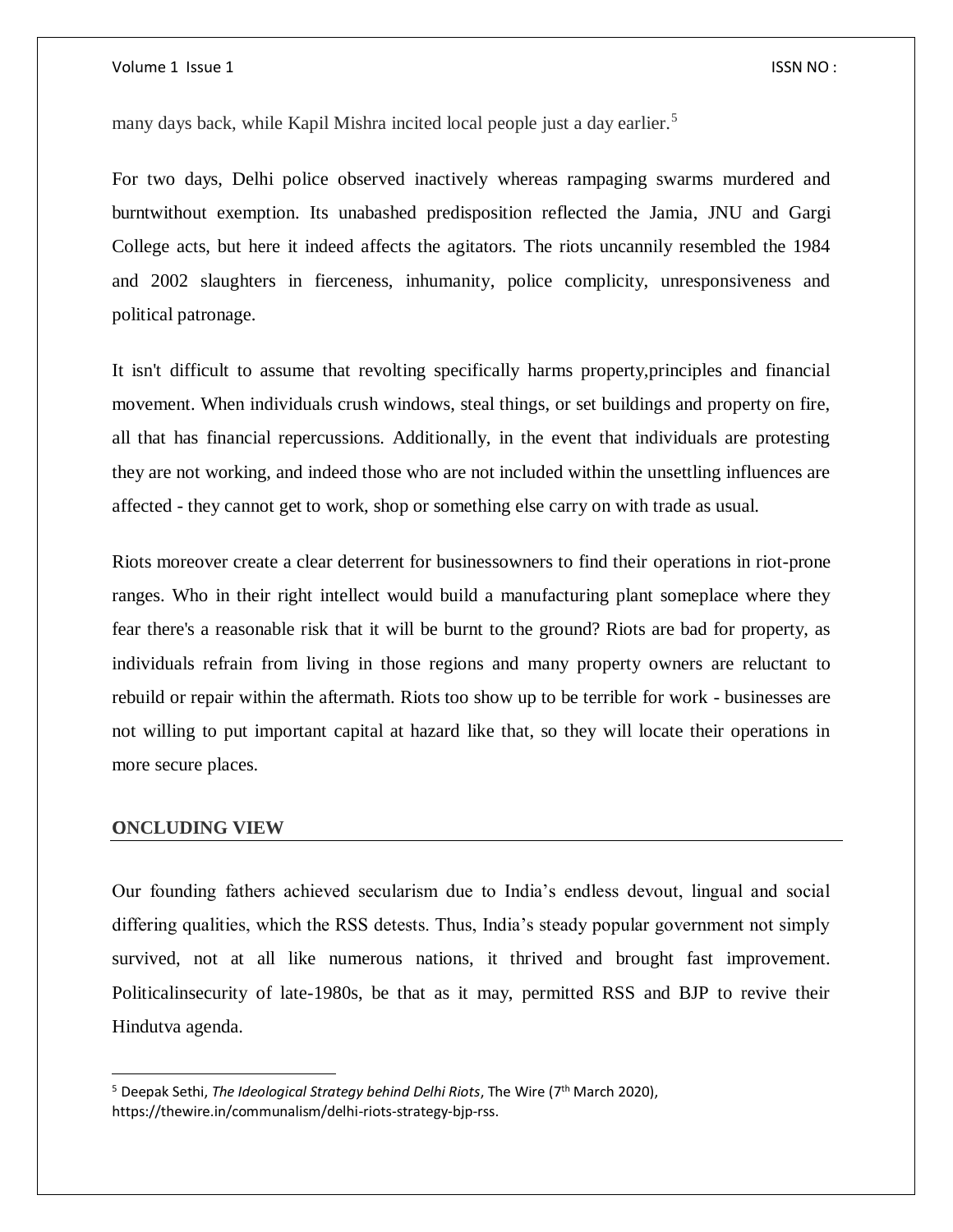#### Volume 1 Issue 1 **ISSN NO** :

many days back, while Kapil Mishra incited local people just a day earlier.<sup>5</sup>

For two days, Delhi police observed inactively whereas rampaging swarms murdered and burntwithout exemption. Its unabashed predisposition reflected the Jamia, JNU and Gargi College acts, but here it indeed affects the agitators. The riots uncannily resembled the 1984 and 2002 slaughters in fierceness, inhumanity, police complicity, unresponsiveness and political patronage.

It isn't difficult to assume that revolting specifically harms property,principles and financial movement. When individuals crush windows, steal things, or set buildings and property on fire, all that has financial repercussions. Additionally, in the event that individuals are protesting they are not working, and indeed those who are not included within the unsettling influences are affected - they cannot get to work, shop or something else carry on with trade as usual.

Riots moreover create a clear deterrent for businessowners to find their operations in riot-prone ranges. Who in their right intellect would build a manufacturing plant someplace where they fear there's a reasonable risk that it will be burnt to the ground? Riots are bad for property, as individuals refrain from living in those regions and many property owners are reluctant to rebuild or repair within the aftermath. Riots too show up to be terrible for work - businesses are not willing to put important capital at hazard like that, so they will locate their operations in more secure places.

## **CONCLUDING VIEW**

 $\overline{\phantom{a}}$ 

Our founding fathers achieved secularism due to India's endless devout, lingual and social differing qualities, which the RSS detests. Thus, India's steady popular government not simply survived, not at all like numerous nations, it thrived and brought fast improvement. Politicalinsecurity of late-1980s, be that as it may, permitted RSS and BJP to revive their Hindutva agenda.

<sup>&</sup>lt;sup>5</sup> Deepak Sethi, *The Ideological Strategy behind Delhi Riots*, The Wire (7<sup>th</sup> March 2020), https://thewire.in/communalism/delhi-riots-strategy-bjp-rss.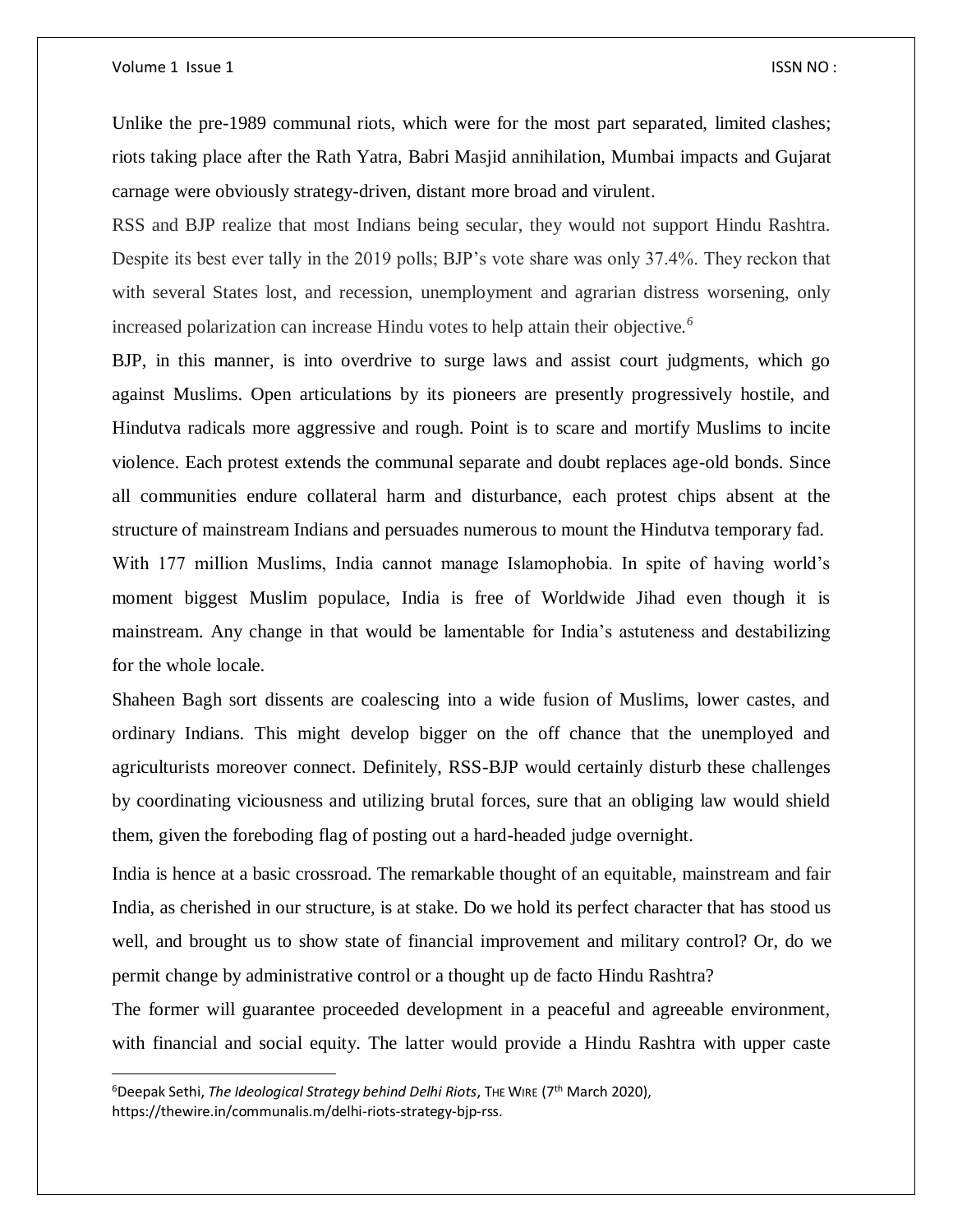#### Volume 1 Issue 1 **ISSN NO** :

 $\overline{\phantom{a}}$ 

Unlike the pre-1989 communal riots, which were for the most part separated, limited clashes; riots taking place after the Rath Yatra, Babri Masjid annihilation, Mumbai impacts and Gujarat carnage were obviously strategy-driven, distant more broad and virulent.

RSS and BJP realize that most Indians being secular, they would not support Hindu Rashtra. Despite its best ever tally in the 2019 polls; BJP's vote share was only 37.4%. They reckon that with several States lost, and recession, unemployment and agrarian distress worsening, only increased polarization can increase Hindu votes to help attain their objective*. 6*

BJP, in this manner, is into overdrive to surge laws and assist court judgments, which go against Muslims. Open articulations by its pioneers are presently progressively hostile, and Hindutva radicals more aggressive and rough. Point is to scare and mortify Muslims to incite violence. Each protest extends the communal separate and doubt replaces age-old bonds. Since all communities endure collateral harm and disturbance, each protest chips absent at the structure of mainstream Indians and persuades numerous to mount the Hindutva temporary fad. With 177 million Muslims, India cannot manage Islamophobia. In spite of having world's

moment biggest Muslim populace, India is free of Worldwide Jihad even though it is mainstream. Any change in that would be lamentable for India's astuteness and destabilizing for the whole locale.

Shaheen Bagh sort dissents are coalescing into a wide fusion of Muslims, lower castes, and ordinary Indians. This might develop bigger on the off chance that the unemployed and agriculturists moreover connect. Definitely, RSS-BJP would certainly disturb these challenges by coordinating viciousness and utilizing brutal forces, sure that an obliging law would shield them, given the foreboding flag of posting out a hard-headed judge overnight.

India is hence at a basic crossroad. The remarkable thought of an equitable, mainstream and fair India, as cherished in our structure, is at stake. Do we hold its perfect character that has stood us well, and brought us to show state of financial improvement and military control? Or, do we permit change by administrative control or a thought up de facto Hindu Rashtra?

The former will guarantee proceeded development in a peaceful and agreeable environment, with financial and social equity. The latter would provide a Hindu Rashtra with upper caste

<sup>&</sup>lt;sup>6</sup>Deepak Sethi, *The Ideological Strategy behind Delhi Riots*, The WIRE (7<sup>th</sup> March 2020), https://thewire.in/communalis.m/delhi-riots-strategy-bjp-rss.